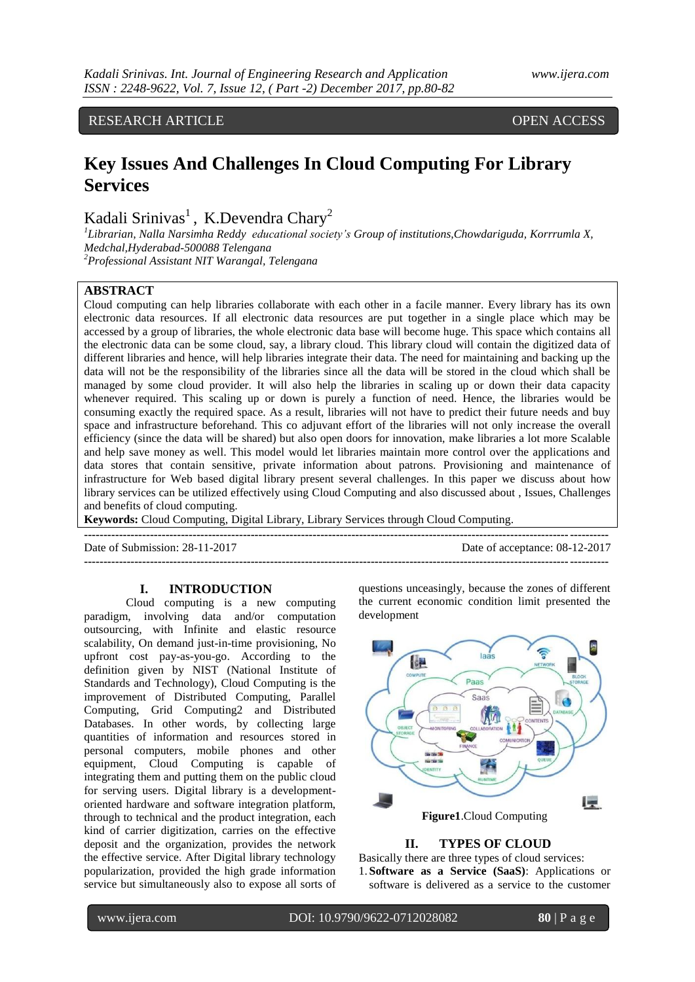# RESEARCH ARTICLE OPEN ACCESS

# **Key Issues And Challenges In Cloud Computing For Library Services**

Kadali Srinivas<sup>1</sup>, K.Devendra Chary<sup>2</sup>

*1 Librarian, Nalla Narsimha Reddy educational society's Group of institutions,Chowdariguda, Korrrumla X, Medchal,Hyderabad-500088 Telengana <sup>2</sup>Professional Assistant NIT Warangal, Telengana*

## **ABSTRACT**

Cloud computing can help libraries collaborate with each other in a facile manner. Every library has its own electronic data resources. If all electronic data resources are put together in a single place which may be accessed by a group of libraries, the whole electronic data base will become huge. This space which contains all the electronic data can be some cloud, say, a library cloud. This library cloud will contain the digitized data of different libraries and hence, will help libraries integrate their data. The need for maintaining and backing up the data will not be the responsibility of the libraries since all the data will be stored in the cloud which shall be managed by some cloud provider. It will also help the libraries in scaling up or down their data capacity whenever required. This scaling up or down is purely a function of need. Hence, the libraries would be consuming exactly the required space. As a result, libraries will not have to predict their future needs and buy space and infrastructure beforehand. This co adjuvant effort of the libraries will not only increase the overall efficiency (since the data will be shared) but also open doors for innovation, make libraries a lot more Scalable and help save money as well. This model would let libraries maintain more control over the applications and data stores that contain sensitive, private information about patrons. Provisioning and maintenance of infrastructure for Web based digital library present several challenges. In this paper we discuss about how library services can be utilized effectively using Cloud Computing and also discussed about , Issues, Challenges and benefits of cloud computing.

**Keywords:** Cloud Computing, Digital Library, Library Services through Cloud Computing. **---------------------------------------------------------------------------------------------------------------------------------------**

Date of Submission: 28-11-2017 Date of acceptance: 08-12-2017

**---------------------------------------------------------------------------------------------------------------------------------------**

# **I. INTRODUCTION**

Cloud computing is a new computing paradigm, involving data and/or computation outsourcing, with Infinite and elastic resource scalability, On demand just-in-time provisioning, No upfront cost pay-as-you-go. According to the definition given by NIST (National Institute of Standards and Technology), Cloud Computing is the improvement of Distributed Computing, Parallel Computing, Grid Computing2 and Distributed Databases. In other words, by collecting large quantities of information and resources stored in personal computers, mobile phones and other equipment, Cloud Computing is capable of integrating them and putting them on the public cloud for serving users. Digital library is a developmentoriented hardware and software integration platform, through to technical and the product integration, each kind of carrier digitization, carries on the effective deposit and the organization, provides the network the effective service. After Digital library technology popularization, provided the high grade information service but simultaneously also to expose all sorts of questions unceasingly, because the zones of different the current economic condition limit presented the development



#### **II. TYPES OF CLOUD**

Basically there are three types of cloud services: 1. **Software as a Service (SaaS)**: Applications or software is delivered as a service to the customer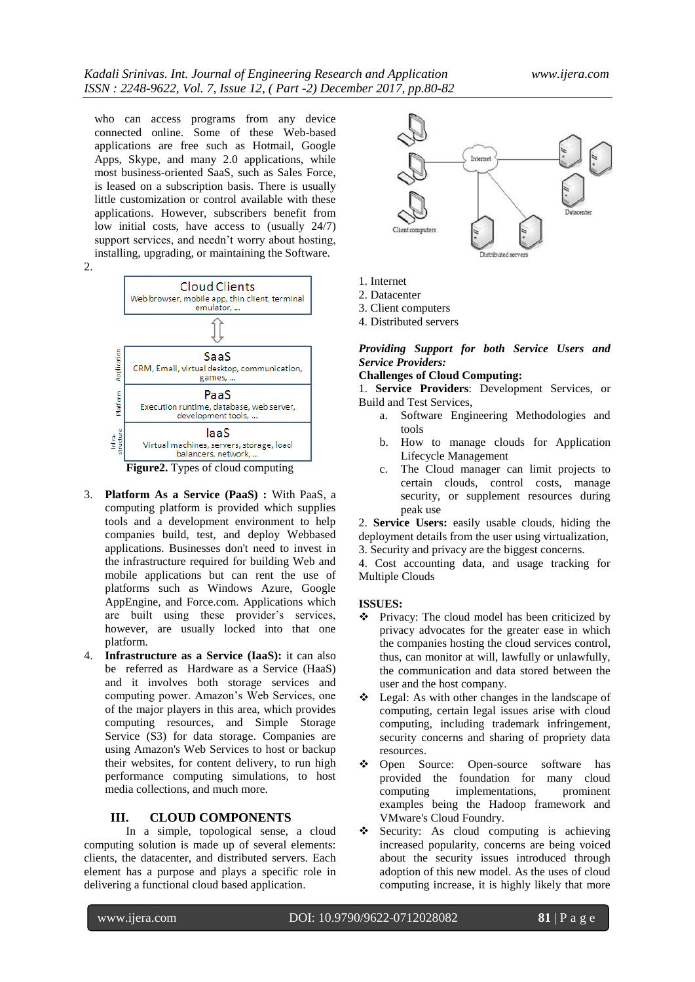who can access programs from any device connected online. Some of these Web-based applications are free such as Hotmail, Google Apps, Skype, and many 2.0 applications, while most business-oriented SaaS, such as Sales Force, is leased on a subscription basis. There is usually little customization or control available with these applications. However, subscribers benefit from low initial costs, have access to (usually 24/7) support services, and needn't worry about hosting, installing, upgrading, or maintaining the Software.





- 3. **Platform As a Service (PaaS) :** With PaaS, a computing platform is provided which supplies tools and a development environment to help companies build, test, and deploy Webbased applications. Businesses don't need to invest in the infrastructure required for building Web and mobile applications but can rent the use of platforms such as Windows Azure, Google AppEngine, and Force.com. Applications which are built using these provider's services, however, are usually locked into that one platform.
- 4. **Infrastructure as a Service (IaaS):** it can also be referred as Hardware as a Service (HaaS) and it involves both storage services and computing power. Amazon's Web Services, one of the major players in this area, which provides computing resources, and Simple Storage Service (S3) for data storage. Companies are using Amazon's Web Services to host or backup their websites, for content delivery, to run high performance computing simulations, to host media collections, and much more.

#### **III. CLOUD COMPONENTS**

In a simple, topological sense, a cloud computing solution is made up of several elements: clients, the datacenter, and distributed servers. Each element has a purpose and plays a specific role in delivering a functional cloud based application.



- 1. Internet
- 2. Datacenter
- 3. Client computers
- 4. Distributed servers

## *Providing Support for both Service Users and Service Providers:*

#### **Challenges of Cloud Computing:**

1. **Service Providers**: Development Services, or Build and Test Services,

- a. Software Engineering Methodologies and tools
- b. How to manage clouds for Application Lifecycle Management
- c. The Cloud manager can limit projects to certain clouds, control costs, manage security, or supplement resources during peak use

2. **Service Users:** easily usable clouds, hiding the deployment details from the user using virtualization, 3. Security and privacy are the biggest concerns.

4. Cost accounting data, and usage tracking for Multiple Clouds

#### **ISSUES:**

- Privacy: The cloud model has been criticized by privacy advocates for the greater ease in which the companies hosting the cloud services control, thus, can monitor at will, lawfully or unlawfully, the communication and data stored between the user and the host company.
- $\div$  Legal: As with other changes in the landscape of computing, certain legal issues arise with cloud computing, including trademark infringement, security concerns and sharing of propriety data resources.
- Open Source: Open-source software has provided the foundation for many cloud computing implementations, prominent examples being the Hadoop framework and VMware's Cloud Foundry.
- Security: As cloud computing is achieving increased popularity, concerns are being voiced about the security issues introduced through adoption of this new model. As the uses of cloud computing increase, it is highly likely that more